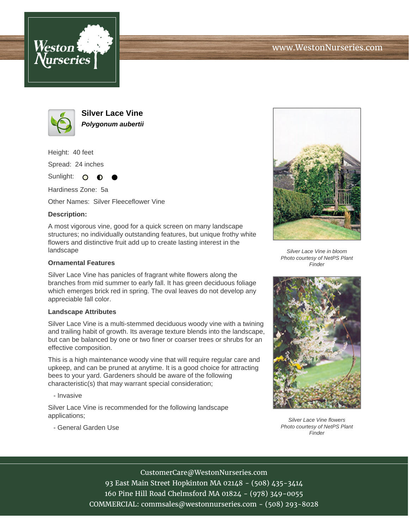





**Silver Lace Vine Polygonum aubertii**

Height: 40 feet

Spread: 24 inches

Sunlight: O **O** 

Hardiness Zone: 5a

Other Names: Silver Fleeceflower Vine

## **Description:**

A most vigorous vine, good for a quick screen on many landscape structures; no individually outstanding features, but unique frothy white flowers and distinctive fruit add up to create lasting interest in the landscape

## **Ornamental Features**

Silver Lace Vine has panicles of fragrant white flowers along the branches from mid summer to early fall. It has green deciduous foliage which emerges brick red in spring. The oval leaves do not develop any appreciable fall color.

## **Landscape Attributes**

Silver Lace Vine is a multi-stemmed deciduous woody vine with a twining and trailing habit of growth. Its average texture blends into the landscape, but can be balanced by one or two finer or coarser trees or shrubs for an effective composition.

This is a high maintenance woody vine that will require regular care and upkeep, and can be pruned at anytime. It is a good choice for attracting bees to your yard. Gardeners should be aware of the following characteristic(s) that may warrant special consideration;

- Invasive

Silver Lace Vine is recommended for the following landscape applications;

- General Garden Use



Silver Lace Vine in bloom Photo courtesy of NetPS Plant Finder



Silver Lace Vine flowers Photo courtesy of NetPS Plant **Finder** 

CustomerCare@WestonNurseries.com

93 East Main Street Hopkinton MA 02148 - (508) 435-3414 160 Pine Hill Road Chelmsford MA 01824 - (978) 349-0055 COMMERCIAL: commsales@westonnurseries.com - (508) 293-8028